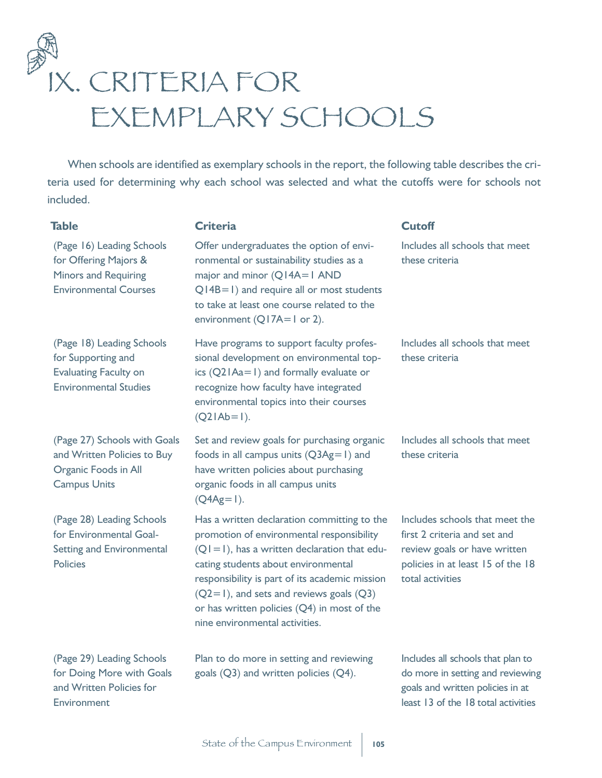

When schools are identified as exemplary schools in the report, the following table describes the criteria used for determining why each school was selected and what the cutoffs were for schools not included.

| <b>Table</b>                                                                                                      | <b>Criteria</b>                                                                                                                                                                                                                                                                                                                                                        | <b>Cutoff</b>                                                                                                                                           |
|-------------------------------------------------------------------------------------------------------------------|------------------------------------------------------------------------------------------------------------------------------------------------------------------------------------------------------------------------------------------------------------------------------------------------------------------------------------------------------------------------|---------------------------------------------------------------------------------------------------------------------------------------------------------|
| (Page 16) Leading Schools<br>for Offering Majors &<br><b>Minors and Requiring</b><br><b>Environmental Courses</b> | Offer undergraduates the option of envi-<br>ronmental or sustainability studies as a<br>major and minor (Q14A=1 AND<br>$Q$ 14B=1) and require all or most students<br>to take at least one course related to the<br>environment $(Q17A=1$ or 2).                                                                                                                       | Includes all schools that meet<br>these criteria                                                                                                        |
| (Page 18) Leading Schools<br>for Supporting and<br><b>Evaluating Faculty on</b><br><b>Environmental Studies</b>   | Have programs to support faculty profes-<br>sional development on environmental top-<br>ics $(Q2 Aa=1)$ and formally evaluate or<br>recognize how faculty have integrated<br>environmental topics into their courses<br>$(Q2 Ab=1)$ .                                                                                                                                  | Includes all schools that meet<br>these criteria                                                                                                        |
| (Page 27) Schools with Goals<br>and Written Policies to Buy<br>Organic Foods in All<br><b>Campus Units</b>        | Set and review goals for purchasing organic<br>foods in all campus units $(Q3Ag=1)$ and<br>have written policies about purchasing<br>organic foods in all campus units<br>$(Q4Ag=1)$ .                                                                                                                                                                                 | Includes all schools that meet<br>these criteria                                                                                                        |
| (Page 28) Leading Schools<br>for Environmental Goal-<br><b>Setting and Environmental</b><br><b>Policies</b>       | Has a written declaration committing to the<br>promotion of environmental responsibility<br>$(QI = I)$ , has a written declaration that edu-<br>cating students about environmental<br>responsibility is part of its academic mission<br>$(Q2=1)$ , and sets and reviews goals $(Q3)$<br>or has written policies (Q4) in most of the<br>nine environmental activities. | Includes schools that meet the<br>first 2 criteria and set and<br>review goals or have written<br>policies in at least 15 of the 18<br>total activities |
| (Page 29) Leading Schools<br>for Doing More with Goals<br>and Written Policies for<br>Environment                 | Plan to do more in setting and reviewing<br>goals (Q3) and written policies (Q4).                                                                                                                                                                                                                                                                                      | Includes all schools that plan to<br>do more in setting and reviewing<br>goals and written policies in at<br>least 13 of the 18 total activities        |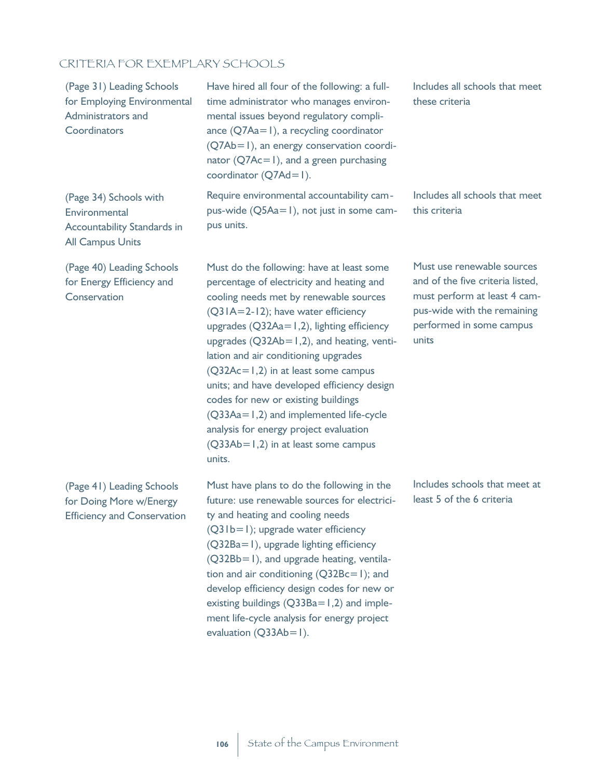## CRITERIA FOR EXEMPLARY SCHOOLS

(Page 31) Leading Schools for Employing Environmental Administrators and **Coordinators** 

Have hired all four of the following: a fulltime administrator who manages environmental issues beyond regulatory compliance (Q7Aa=1), a recycling coordinator (Q7Ab=1), an energy conservation coordinator (Q7Ac=1), and a green purchasing coordinator (Q7Ad=1).

(Page 34) Schools with **Environmental** Accountability Standards in All Campus Units

(Page 40) Leading Schools for Energy Efficiency and **Conservation** 

(Page 41) Leading Schools for Doing More w/Energy Efficiency and Conservation Require environmental accountability campus-wide (Q5Aa=1), not just in some campus units.

Must do the following: have at least some percentage of electricity and heating and cooling needs met by renewable sources (Q31A=2-12); have water efficiency upgrades  $(Q32Aa=1,2)$ , lighting efficiency upgrades  $(Q32Ab=1,2)$ , and heating, ventilation and air conditioning upgrades (Q32Ac=1,2) in at least some campus units; and have developed efficiency design codes for new or existing buildings (Q33Aa=1,2) and implemented life-cycle analysis for energy project evaluation (Q33Ab=1,2) in at least some campus units.

Must have plans to do the following in the future: use renewable sources for electricity and heating and cooling needs (Q31b=1); upgrade water efficiency (Q32Ba=1), upgrade lighting efficiency (Q32Bb=1), and upgrade heating, ventilation and air conditioning  $(Q32Bc=1)$ ; and develop efficiency design codes for new or existing buildings  $(Q33Ba=1,2)$  and implement life-cycle analysis for energy project evaluation  $(Q33Ab=1)$ .

Includes all schools that meet these criteria

Includes all schools that meet this criteria

Must use renewable sources and of the five criteria listed, must perform at least 4 campus-wide with the remaining performed in some campus units

Includes schools that meet at least 5 of the 6 criteria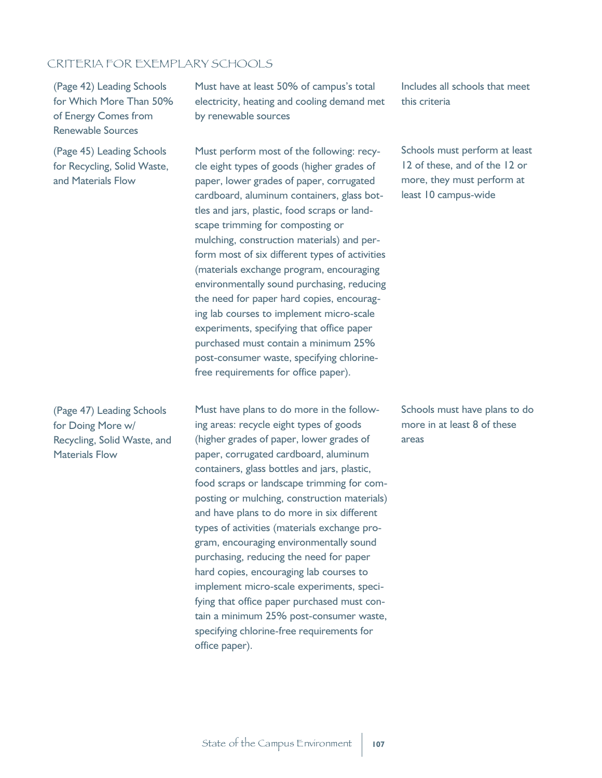## CRITERIA FOR EXEMPLARY SCHOOLS

(Page 42) Leading Schools for Which More Than 50% of Energy Comes from Renewable Sources

(Page 45) Leading Schools for Recycling, Solid Waste, and Materials Flow

(Page 47) Leading Schools for Doing More w/ Recycling, Solid Waste, and Materials Flow

Must have at least 50% of campus's total electricity, heating and cooling demand met by renewable sources

Must perform most of the following: recycle eight types of goods (higher grades of paper, lower grades of paper, corrugated cardboard, aluminum containers, glass bottles and jars, plastic, food scraps or landscape trimming for composting or mulching, construction materials) and perform most of six different types of activities (materials exchange program, encouraging environmentally sound purchasing, reducing the need for paper hard copies, encouraging lab courses to implement micro-scale experiments, specifying that office paper purchased must contain a minimum 25% post-consumer waste, specifying chlorinefree requirements for office paper).

Must have plans to do more in the following areas: recycle eight types of goods (higher grades of paper, lower grades of paper, corrugated cardboard, aluminum containers, glass bottles and jars, plastic, food scraps or landscape trimming for composting or mulching, construction materials) and have plans to do more in six different types of activities (materials exchange program, encouraging environmentally sound purchasing, reducing the need for paper hard copies, encouraging lab courses to implement micro-scale experiments, specifying that office paper purchased must contain a minimum 25% post-consumer waste, specifying chlorine-free requirements for office paper).

Includes all schools that meet this criteria

Schools must perform at least 12 of these, and of the 12 or more, they must perform at least 10 campus-wide

Schools must have plans to do more in at least 8 of these areas